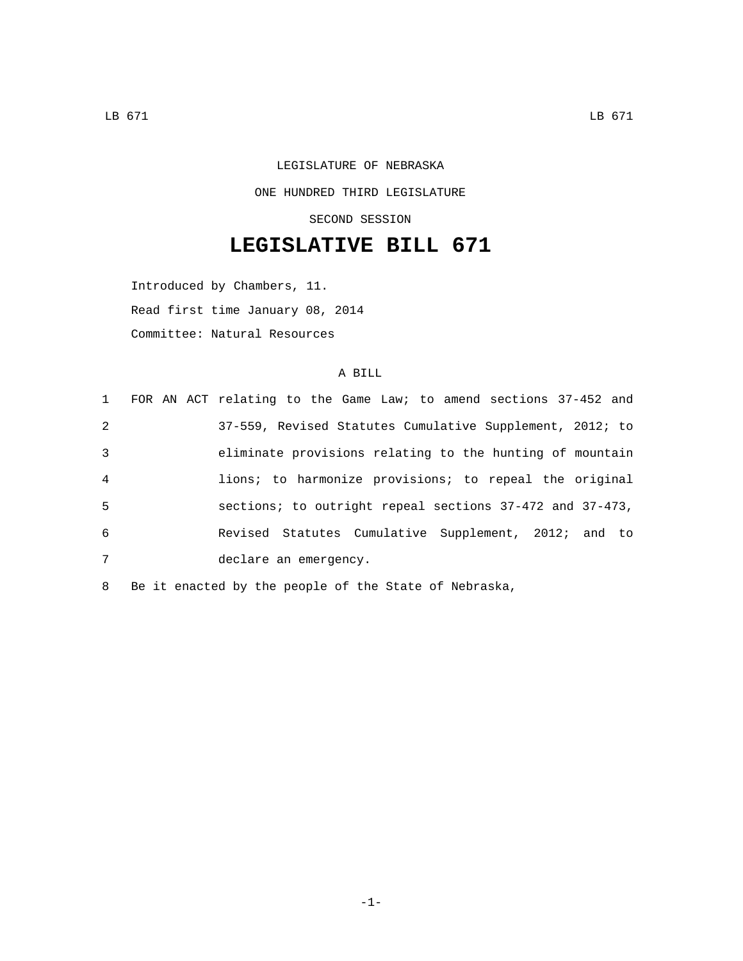## LEGISLATURE OF NEBRASKA ONE HUNDRED THIRD LEGISLATURE SECOND SESSION

## **LEGISLATIVE BILL 671**

Introduced by Chambers, 11. Read first time January 08, 2014 Committee: Natural Resources

## A BILL

|                |  | 1 FOR AN ACT relating to the Game Law; to amend sections 37-452 and |
|----------------|--|---------------------------------------------------------------------|
| 2              |  | 37-559, Revised Statutes Cumulative Supplement, 2012; to            |
| 3              |  | eliminate provisions relating to the hunting of mountain            |
| $\overline{4}$ |  | lions; to harmonize provisions; to repeal the original              |
| 5              |  | sections; to outright repeal sections 37-472 and 37-473,            |
| 6              |  | Revised Statutes Cumulative Supplement, 2012; and to                |
| 7              |  | declare an emergency.                                               |
|                |  |                                                                     |

8 Be it enacted by the people of the State of Nebraska,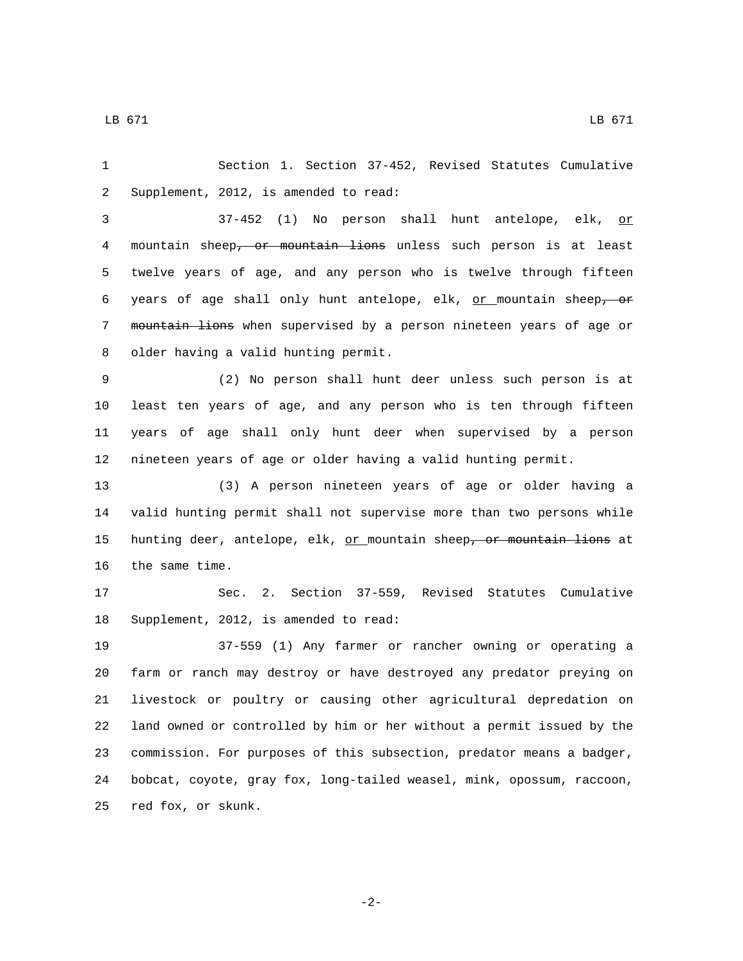1 Section 1. Section 37-452, Revised Statutes Cumulative 2 Supplement, 2012, is amended to read:

3 37-452 (1) No person shall hunt antelope, elk, or 4 mountain sheep<del>, or mountain lions</del> unless such person is at least 5 twelve years of age, and any person who is twelve through fifteen 6 years of age shall only hunt antelope, elk, or mountain sheep, or 7 mountain lions when supervised by a person nineteen years of age or 8 older having a valid hunting permit.

 (2) No person shall hunt deer unless such person is at least ten years of age, and any person who is ten through fifteen years of age shall only hunt deer when supervised by a person nineteen years of age or older having a valid hunting permit.

13 (3) A person nineteen years of age or older having a 14 valid hunting permit shall not supervise more than two persons while 15 hunting deer, antelope, elk,  $or$  mountain sheep<del>, or mountain lions</del> at</u> 16 the same time.

17 Sec. 2. Section 37-559, Revised Statutes Cumulative 18 Supplement, 2012, is amended to read:

 37-559 (1) Any farmer or rancher owning or operating a farm or ranch may destroy or have destroyed any predator preying on livestock or poultry or causing other agricultural depredation on land owned or controlled by him or her without a permit issued by the commission. For purposes of this subsection, predator means a badger, bobcat, coyote, gray fox, long-tailed weasel, mink, opossum, raccoon, 25 red fox, or skunk.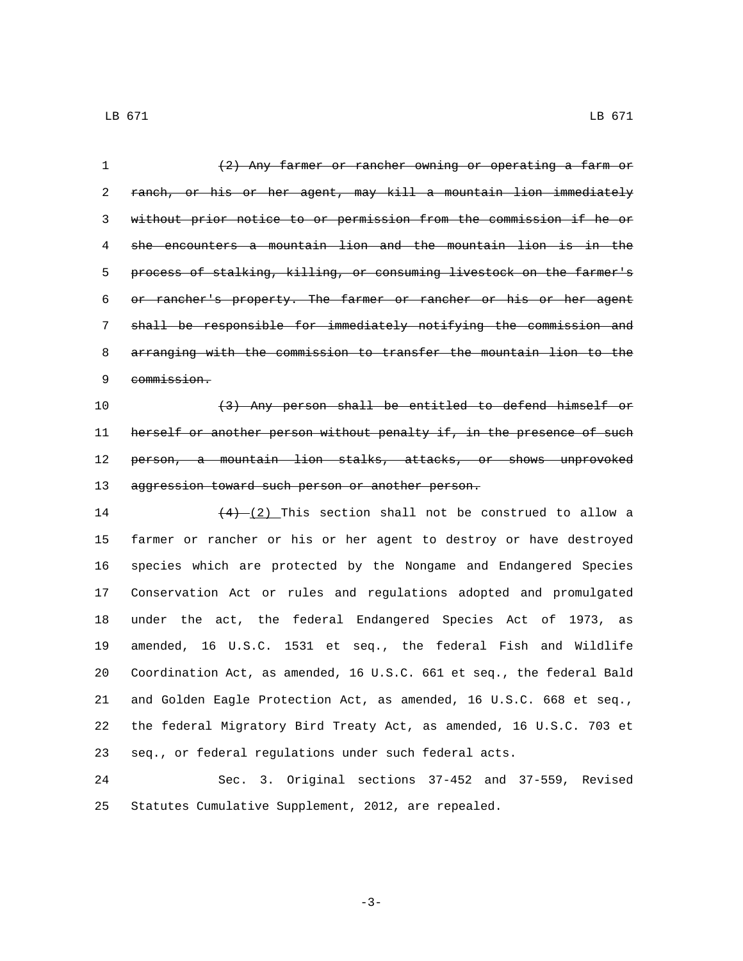| $\mathbf 1$ | (2) Any farmer or rancher owning or operating a farm or               |
|-------------|-----------------------------------------------------------------------|
| 2           | ranch, or his or her agent, may kill a mountain lion immediately      |
| 3           | without prior notice to or permission from the commission if he or    |
| 4           | she encounters a mountain lion and the mountain lion is in the        |
| 5           | process of stalking, killing, or consuming livestock on the farmer's  |
| 6           | or rancher's property. The farmer or rancher or his or her agent      |
| 7           | shall be responsible for immediately notifying the commission and     |
| 8           | arranging with the commission to transfer the mountain lion to the    |
| 9           | commission.                                                           |
| 10          | (3) Any person shall be entitled to defend himself or                 |
| 11          | herself or another person without penalty if, in the presence of such |
| 12          | person, a mountain lion stalks, attacks, or shows unprovoked          |
| 13          | aggression toward such person or another person.                      |
| 14          | $(4)$ $(2)$ This section shall not be construed to allow a            |
| 15          | farmer or rancher or his or her agent to destroy or have destroyed    |
| 16          | species which are protected by the Nongame and Endangered Species     |
| 17          | Conservation Act or rules and regulations adopted and promulgated     |
| 18          | under the act, the federal Endangered Species Act of 1973, as         |
| 19          | amended, 16 U.S.C. 1531 et seq., the federal Fish and Wildlife        |
| 20          | Coordination Act, as amended, 16 U.S.C. 661 et seq., the federal Bald |
| 21          | and Golden Eagle Protection Act, as amended, 16 U.S.C. 668 et seg.,   |
| 22          | the federal Migratory Bird Treaty Act, as amended, 16 U.S.C. 703 et   |
| 23          | seq., or federal regulations under such federal acts.                 |
| 24          | Sec. 3. Original sections 37-452 and 37-559, Revised                  |
| 25          | Statutes Cumulative Supplement, 2012, are repealed.                   |

-3-